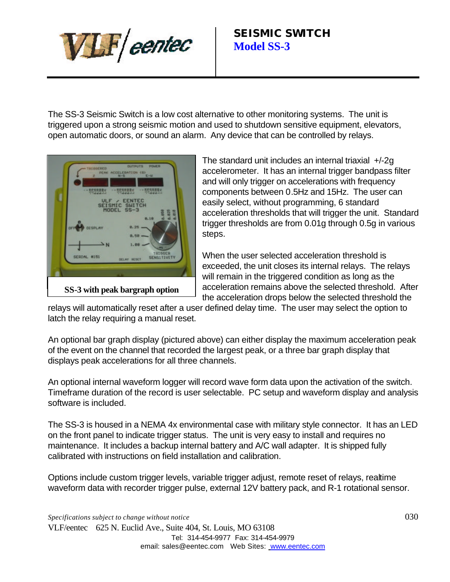

The SS-3 Seismic Switch is a low cost alternative to other monitoring systems. The unit is triggered upon a strong seismic motion and used to shutdown sensitive equipment, elevators, open automatic doors, or sound an alarm. Any device that can be controlled by relays.



The standard unit includes an internal triaxial +/-2g accelerometer. It has an internal trigger bandpass filter and will only trigger on accelerations with frequency components between 0.5Hz and 15Hz. The user can easily select, without programming, 6 standard acceleration thresholds that will trigger the unit. Standard trigger thresholds are from 0.01g through 0.5g in various steps.

When the user selected acceleration threshold is exceeded, the unit closes its internal relays. The relays will remain in the triggered condition as long as the acceleration remains above the selected threshold. After the acceleration drops below the selected threshold the

relays will automatically reset after a user defined delay time. The user may select the option to latch the relay requiring a manual reset.

An optional bar graph display (pictured above) can either display the maximum acceleration peak of the event on the channel that recorded the largest peak, or a three bar graph display that displays peak accelerations for all three channels.

An optional internal waveform logger will record wave form data upon the activation of the switch. Timeframe duration of the record is user selectable. PC setup and waveform display and analysis software is included.

The SS-3 is housed in a NEMA 4x environmental case with military style connector. It has an LED on the front panel to indicate trigger status. The unit is very easy to install and requires no maintenance. It includes a backup internal battery and A/C wall adapter. It is shipped fully calibrated with instructions on field installation and calibration.

Options include custom trigger levels, variable trigger adjust, remote reset of relays, realtime waveform data with recorder trigger pulse, external 12V battery pack, and R-1 rotational sensor.

*Specifications subject to change without notice* 030